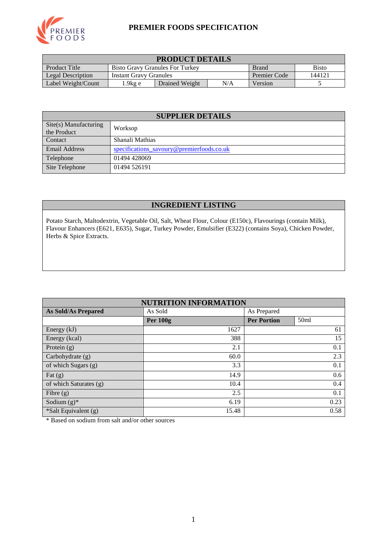

#### **PREMIER FOODS SPECIFICATION**

| <b>PRODUCT DETAILS</b>                                                                  |                                                         |  |  |  |  |
|-----------------------------------------------------------------------------------------|---------------------------------------------------------|--|--|--|--|
| Product Title<br><b>Bisto</b><br><b>Bisto Gravy Granules For Turkey</b><br><b>Brand</b> |                                                         |  |  |  |  |
| Legal Description                                                                       | 144121<br>Premier Code<br><b>Instant Gravy Granules</b> |  |  |  |  |
| N/A<br>$1.9$ kg e<br>Label Weight/Count<br>Drained Weight<br>Version                    |                                                         |  |  |  |  |

| <b>SUPPLIER DETAILS</b>              |                                           |  |  |
|--------------------------------------|-------------------------------------------|--|--|
| Site(s) Manufacturing<br>the Product | Worksop                                   |  |  |
| <b>Contact</b>                       | Shanali Mathias                           |  |  |
| <b>Email Address</b>                 | specifications savoury@premierfoods.co.uk |  |  |
| Telephone                            | 01494 428069                              |  |  |
| Site Telephone                       | 01494 526191                              |  |  |

## **INGREDIENT LISTING**

Potato Starch, Maltodextrin, Vegetable Oil, Salt, Wheat Flour, Colour (E150c), Flavourings (contain Milk), Flavour Enhancers (E621, E635), Sugar, Turkey Powder, Emulsifier (E322) (contains Soya), Chicken Powder, Herbs & Spice Extracts.

| <b>NUTRITION INFORMATION</b> |                 |                                        |  |  |  |
|------------------------------|-----------------|----------------------------------------|--|--|--|
| <b>As Sold/As Prepared</b>   | As Sold         | As Prepared                            |  |  |  |
|                              | <b>Per 100g</b> | <b>Per Portion</b><br>50 <sub>ml</sub> |  |  |  |
| Energy (kJ)                  | 1627            | 61                                     |  |  |  |
| Energy (kcal)                | 388             | 15                                     |  |  |  |
| Protein $(g)$                | 2.1             | 0.1                                    |  |  |  |
| Carbohydrate (g)             | 60.0            | 2.3                                    |  |  |  |
| of which Sugars (g)          | 3.3             | 0.1                                    |  |  |  |
| Fat $(g)$                    | 14.9            | 0.6                                    |  |  |  |
| of which Saturates (g)       | 10.4            | 0.4                                    |  |  |  |
| Fibre $(g)$                  | 2.5             | 0.1                                    |  |  |  |
| Sodium $(g)^*$               | 6.19            | 0.23                                   |  |  |  |
| *Salt Equivalent (g)         | 15.48           | 0.58                                   |  |  |  |

\* Based on sodium from salt and/or other sources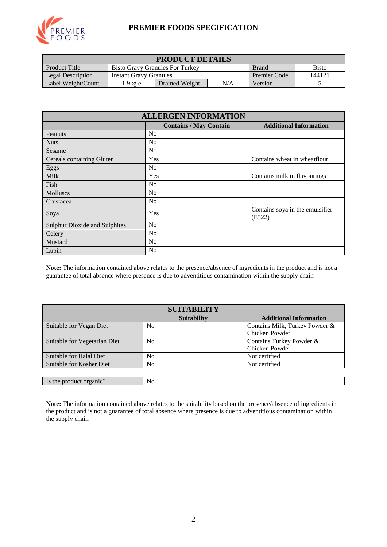

#### **PREMIER FOODS SPECIFICATION**

| <b>PRODUCT DETAILS</b>                                                                         |                                                                |  |  |  |  |  |
|------------------------------------------------------------------------------------------------|----------------------------------------------------------------|--|--|--|--|--|
| <b>Product Title</b><br><b>Bisto</b><br><b>Bisto Gravy Granules For Turkey</b><br><b>Brand</b> |                                                                |  |  |  |  |  |
| Legal Description                                                                              | 144121<br><b>Premier Code</b><br><b>Instant Gravy Granules</b> |  |  |  |  |  |
| Label Weight/Count                                                                             | N/A<br>Drained Weight<br>.9 $kg e$<br>Version                  |  |  |  |  |  |

| <b>ALLERGEN INFORMATION</b>          |                               |                                           |  |  |  |
|--------------------------------------|-------------------------------|-------------------------------------------|--|--|--|
|                                      | <b>Contains / May Contain</b> | <b>Additional Information</b>             |  |  |  |
| Peanuts                              | N <sub>0</sub>                |                                           |  |  |  |
| <b>Nuts</b>                          | N <sub>0</sub>                |                                           |  |  |  |
| Sesame                               | N <sub>0</sub>                |                                           |  |  |  |
| Cereals containing Gluten            | Yes                           | Contains wheat in wheatflour              |  |  |  |
| Eggs                                 | N <sub>0</sub>                |                                           |  |  |  |
| Milk                                 | Yes                           | Contains milk in flavourings              |  |  |  |
| Fish                                 | N <sub>0</sub>                |                                           |  |  |  |
| <b>Molluscs</b>                      | N <sub>0</sub>                |                                           |  |  |  |
| Crustacea                            | N <sub>0</sub>                |                                           |  |  |  |
| Soya                                 | Yes                           | Contains soya in the emulsifier<br>(E322) |  |  |  |
| <b>Sulphur Dioxide and Sulphites</b> | N <sub>0</sub>                |                                           |  |  |  |
| Celery                               | N <sub>0</sub>                |                                           |  |  |  |
| Mustard                              | N <sub>0</sub>                |                                           |  |  |  |
| Lupin                                | N <sub>0</sub>                |                                           |  |  |  |

**Note:** The information contained above relates to the presence/absence of ingredients in the product and is not a guarantee of total absence where presence is due to adventitious contamination within the supply chain

| <b>SUITABILITY</b>           |                    |                                |  |  |  |
|------------------------------|--------------------|--------------------------------|--|--|--|
|                              | <b>Suitability</b> | <b>Additional Information</b>  |  |  |  |
| Suitable for Vegan Diet      | N <sub>0</sub>     | Contains Milk, Turkey Powder & |  |  |  |
|                              |                    | Chicken Powder                 |  |  |  |
| Suitable for Vegetarian Diet | N <sub>0</sub>     | Contains Turkey Powder &       |  |  |  |
|                              |                    | Chicken Powder                 |  |  |  |
| Suitable for Halal Diet      | N <sub>0</sub>     | Not certified                  |  |  |  |
| Suitable for Kosher Diet     | N <sub>0</sub>     | Not certified                  |  |  |  |
|                              |                    |                                |  |  |  |
| Is the product organic?      | N <sub>0</sub>     |                                |  |  |  |

**Note:** The information contained above relates to the suitability based on the presence/absence of ingredients in the product and is not a guarantee of total absence where presence is due to adventitious contamination within the supply chain